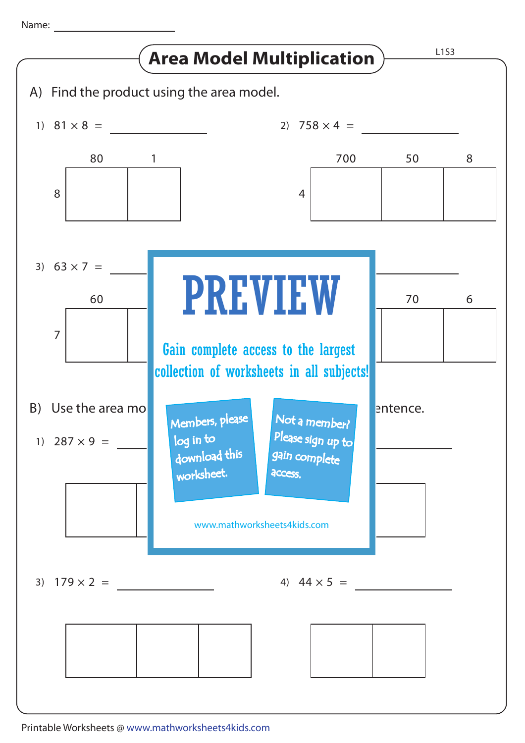